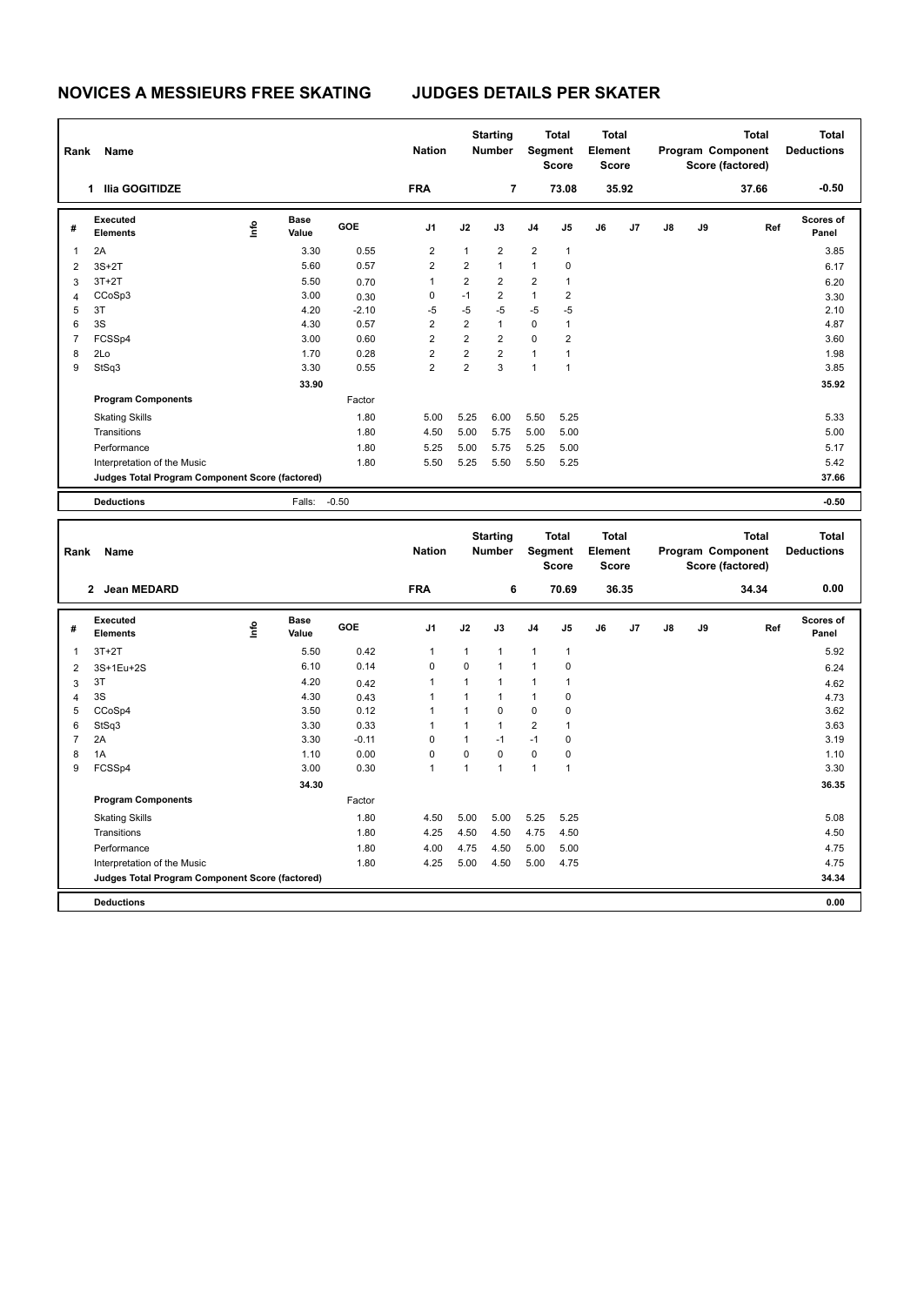**Program Components** 

| Rank           | Name                                            |      |                      |         | <b>Nation</b>  | <b>Starting</b><br><b>Number</b> |                 | <b>Total</b><br>Segment<br><b>Score</b> |                                | <b>Total</b><br>Element<br><b>Score</b> |       |    |    | <b>Total</b><br>Program Component<br>Score (factored) | <b>Total</b><br><b>Deductions</b> |
|----------------|-------------------------------------------------|------|----------------------|---------|----------------|----------------------------------|-----------------|-----------------------------------------|--------------------------------|-----------------------------------------|-------|----|----|-------------------------------------------------------|-----------------------------------|
|                | 1 Ilia GOGITIDZE                                |      |                      |         | <b>FRA</b>     |                                  | 7               |                                         | 73.08                          |                                         | 35.92 |    |    | 37.66                                                 | $-0.50$                           |
| #              | <b>Executed</b><br><b>Elements</b>              | lnfo | <b>Base</b><br>Value | GOE     | J1             | J2                               | J3              | J4                                      | J5                             | J6                                      | J7    | J8 | J9 | Ref                                                   | Scores of<br>Panel                |
| $\mathbf{1}$   | 2A                                              |      | 3.30                 | 0.55    | $\overline{2}$ | $\mathbf{1}$                     | $\overline{2}$  | $\overline{2}$                          | 1                              |                                         |       |    |    |                                                       | 3.85                              |
| $\overline{2}$ | $3S+2T$                                         |      | 5.60                 | 0.57    | $\overline{2}$ | $\overline{2}$                   | $\mathbf{1}$    | $\mathbf{1}$                            | 0                              |                                         |       |    |    |                                                       | 6.17                              |
| 3              | $3T+2T$                                         |      | 5.50                 | 0.70    | $\mathbf{1}$   | $\overline{2}$                   | $\overline{2}$  | $\overline{2}$                          | $\mathbf{1}$                   |                                         |       |    |    |                                                       | 6.20                              |
| $\overline{4}$ | CCoSp3                                          |      | 3.00                 | 0.30    | $\mathbf 0$    | $-1$                             | $\overline{2}$  | $\mathbf{1}$                            | $\overline{2}$                 |                                         |       |    |    |                                                       | 3.30                              |
| 5              | 3T                                              |      | 4.20                 | $-2.10$ | $-5$           | $-5$                             | $-5$            | $-5$                                    | $-5$                           |                                         |       |    |    |                                                       | 2.10                              |
| 6              | 3S                                              |      | 4.30                 | 0.57    | $\overline{2}$ | $\overline{2}$                   | $\mathbf{1}$    | $\mathbf 0$                             | $\mathbf{1}$                   |                                         |       |    |    |                                                       | 4.87                              |
| $\overline{7}$ | FCSSp4                                          |      | 3.00                 | 0.60    | $\overline{2}$ | $\overline{2}$                   | $\overline{2}$  | $\mathbf 0$                             | $\overline{2}$                 |                                         |       |    |    |                                                       | 3.60                              |
| 8              | 2Lo                                             |      | 1.70                 | 0.28    | $\overline{2}$ | $\overline{2}$                   | $\overline{2}$  | $\mathbf{1}$                            | $\mathbf{1}$                   |                                         |       |    |    |                                                       | 1.98                              |
| 9              | StSq3                                           |      | 3.30                 | 0.55    | $\overline{2}$ | $\overline{2}$                   | 3               | $\mathbf{1}$                            | $\mathbf{1}$                   |                                         |       |    |    |                                                       | 3.85                              |
|                |                                                 |      | 33.90                |         |                |                                  |                 |                                         |                                |                                         |       |    |    |                                                       | 35.92                             |
|                | <b>Program Components</b>                       |      |                      | Factor  |                |                                  |                 |                                         |                                |                                         |       |    |    |                                                       |                                   |
|                | <b>Skating Skills</b>                           |      |                      | 1.80    | 5.00           | 5.25                             | 6.00            | 5.50                                    | 5.25                           |                                         |       |    |    |                                                       | 5.33                              |
|                | Transitions                                     |      |                      | 1.80    | 4.50           | 5.00                             | 5.75            | 5.00                                    | 5.00                           |                                         |       |    |    |                                                       | 5.00                              |
|                | Performance                                     |      |                      | 1.80    | 5.25           | 5.00                             | 5.75            | 5.25                                    | 5.00                           |                                         |       |    |    |                                                       | 5.17                              |
|                | Interpretation of the Music                     |      |                      | 1.80    | 5.50           | 5.25                             | 5.50            | 5.50                                    | 5.25                           |                                         |       |    |    |                                                       | 5.42                              |
|                | Judges Total Program Component Score (factored) |      |                      |         |                |                                  |                 |                                         |                                |                                         |       |    |    |                                                       | 37.66                             |
|                | <b>Deductions</b>                               |      | Falls:               | $-0.50$ |                |                                  |                 |                                         |                                |                                         |       |    |    |                                                       | $-0.50$                           |
|                |                                                 |      |                      |         |                |                                  | <b>Starting</b> |                                         | <b>Total</b>                   | <b>Total</b>                            |       |    |    | <b>Total</b>                                          | <b>Total</b>                      |
| Rank           | Name                                            |      |                      |         | <b>Nation</b>  |                                  | <b>Number</b>   |                                         | <b>Segment</b><br><b>Score</b> | Element<br><b>Score</b>                 |       |    |    | Program Component<br>Score (factored)                 | <b>Deductions</b>                 |
|                | 2 Jean MEDARD                                   |      |                      |         | <b>FRA</b>     |                                  | 6               |                                         | 70.69                          |                                         | 36.35 |    |    | 34.34                                                 | 0.00                              |
| #              | <b>Executed</b><br><b>Elements</b>              | lnfo | <b>Base</b><br>Value | GOE     | J <sub>1</sub> | J2                               | J3              | J <sub>4</sub>                          | J5                             | J6                                      | J7    | J8 | J9 | Ref                                                   | <b>Scores of</b><br>Panel         |
| $\mathbf 1$    | $3T+2T$                                         |      | 5.50                 | 0.42    | 1              | 1                                | $\mathbf{1}$    | $\mathbf{1}$                            | 1                              |                                         |       |    |    |                                                       | 5.92                              |
| $\overline{2}$ | 3S+1Eu+2S                                       |      | 6.10                 | 0.14    | $\Omega$       | $\mathbf 0$                      | $\mathbf{1}$    | $\mathbf{1}$                            | $\mathbf 0$                    |                                         |       |    |    |                                                       | 6.24                              |
| 3              | 3T                                              |      | 4.20                 | 0.42    | 1              | $\mathbf{1}$                     | $\mathbf{1}$    | $\mathbf{1}$                            | 1                              |                                         |       |    |    |                                                       | 4.62                              |
| $\overline{4}$ | 3S                                              |      | 4.30                 | 0.43    | $\mathbf{1}$   | $\mathbf{1}$                     | $\overline{1}$  | $\mathbf{1}$                            | $\Omega$                       |                                         |       |    |    |                                                       | 4.73                              |

 CCoSp4 3.50 0.12 1 1 0 0 0 3.62 StSq3 3.30 0.33 1 1 1 2 1 3.63 2A 3.30 -0.11 0 1 -1 -1 0 3.19 1A 1.10 0.00 0 0 0 0 0 1.10 FCSSp4 3.00 0.30 1 1 1 1 1 3.30

Skating Skills 4.50 5.00 5.00 5.25 5.25 1.80 5.08

Transitions 1.80 4.25 4.50 4.50 4.75 4.50 4.50 Performance 2.80 4.75 4.00 4.75 4.50 5.00 5.00 5.00 5.00 5.00 4.75 4.75 Interpretation of the Music **1.80** 4.25 5.00 4.50 5.00 4.75

**Deductions 0.00 Judges Total Program Component Score (factored) 34.34**

Factor

 **34.30 36.35**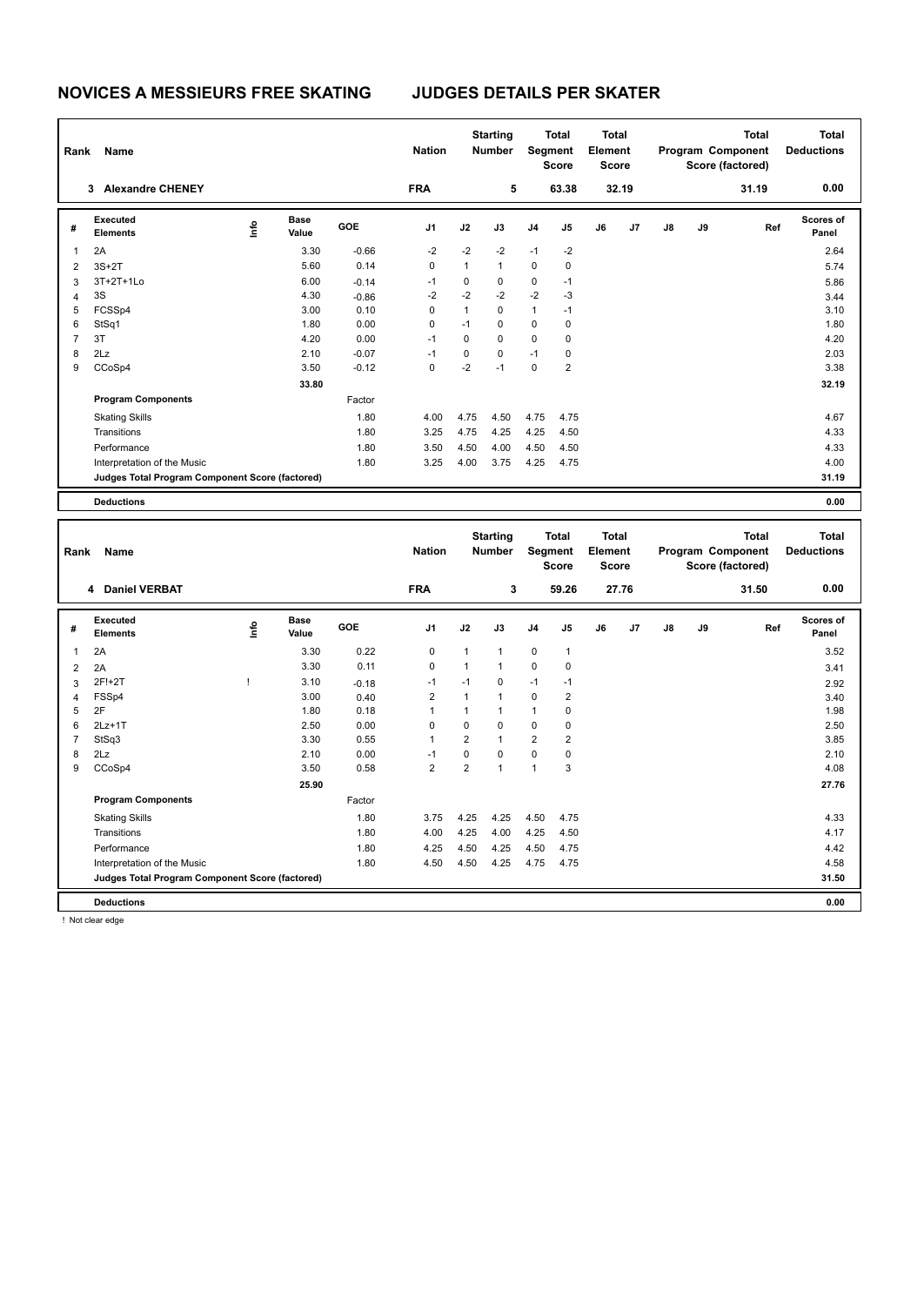| Rank | Name                                            |      |                      |         | <b>Nation</b>  |              | <b>Starting</b><br><b>Number</b> |                | <b>Total</b><br>Segment<br><b>Score</b> | <b>Total</b><br>Element<br><b>Score</b> |       |    |    | <b>Total</b><br>Program Component<br>Score (factored) | <b>Total</b><br><b>Deductions</b> |
|------|-------------------------------------------------|------|----------------------|---------|----------------|--------------|----------------------------------|----------------|-----------------------------------------|-----------------------------------------|-------|----|----|-------------------------------------------------------|-----------------------------------|
|      | <b>Alexandre CHENEY</b><br>3                    |      |                      |         | <b>FRA</b>     |              | 5                                |                | 63.38                                   |                                         | 32.19 |    |    | 31.19                                                 | 0.00                              |
| #    | Executed<br><b>Elements</b>                     | ١mfo | <b>Base</b><br>Value | GOE     | J <sub>1</sub> | J2           | J3                               | J <sub>4</sub> | J5                                      | J6                                      | J7    | J8 | J9 | Ref                                                   | Scores of<br>Panel                |
|      | 2A                                              |      | 3.30                 | $-0.66$ | $-2$           | $-2$         | $-2$                             | $-1$           | $-2$                                    |                                         |       |    |    |                                                       | 2.64                              |
| 2    | $3S+2T$                                         |      | 5.60                 | 0.14    | 0              | $\mathbf{1}$ | $\mathbf{1}$                     | $\mathbf 0$    | 0                                       |                                         |       |    |    |                                                       | 5.74                              |
| 3    | 3T+2T+1Lo                                       |      | 6.00                 | $-0.14$ | $-1$           | 0            | 0                                | 0              | $-1$                                    |                                         |       |    |    |                                                       | 5.86                              |
| 4    | 3S                                              |      | 4.30                 | $-0.86$ | $-2$           | $-2$         | $-2$                             | $-2$           | $-3$                                    |                                         |       |    |    |                                                       | 3.44                              |
| 5    | FCSSp4                                          |      | 3.00                 | 0.10    | 0              | $\mathbf{1}$ | $\mathbf 0$                      | $\mathbf{1}$   | $-1$                                    |                                         |       |    |    |                                                       | 3.10                              |
| 6    | StSq1                                           |      | 1.80                 | 0.00    | 0              | $-1$         | 0                                | 0              | 0                                       |                                         |       |    |    |                                                       | 1.80                              |
| 7    | 3T                                              |      | 4.20                 | 0.00    | $-1$           | $\mathbf 0$  | 0                                | $\mathbf 0$    | 0                                       |                                         |       |    |    |                                                       | 4.20                              |
| 8    | 2Lz                                             |      | 2.10                 | $-0.07$ | $-1$           | $\mathbf 0$  | $\mathbf 0$                      | $-1$           | 0                                       |                                         |       |    |    |                                                       | 2.03                              |
| 9    | CCoSp4                                          |      | 3.50                 | $-0.12$ | 0              | $-2$         | $-1$                             | $\mathbf 0$    | $\overline{2}$                          |                                         |       |    |    |                                                       | 3.38                              |
|      |                                                 |      | 33.80                |         |                |              |                                  |                |                                         |                                         |       |    |    |                                                       | 32.19                             |
|      | <b>Program Components</b>                       |      |                      | Factor  |                |              |                                  |                |                                         |                                         |       |    |    |                                                       |                                   |
|      | <b>Skating Skills</b>                           |      |                      | 1.80    | 4.00           | 4.75         | 4.50                             | 4.75           | 4.75                                    |                                         |       |    |    |                                                       | 4.67                              |
|      | Transitions                                     |      |                      | 1.80    | 3.25           | 4.75         | 4.25                             | 4.25           | 4.50                                    |                                         |       |    |    |                                                       | 4.33                              |
|      | Performance                                     |      |                      | 1.80    | 3.50           | 4.50         | 4.00                             | 4.50           | 4.50                                    |                                         |       |    |    |                                                       | 4.33                              |
|      | Interpretation of the Music                     |      |                      | 1.80    | 3.25           | 4.00         | 3.75                             | 4.25           | 4.75                                    |                                         |       |    |    |                                                       | 4.00                              |
|      | Judges Total Program Component Score (factored) |      |                      |         |                |              |                                  |                |                                         |                                         |       |    |    |                                                       | 31.19                             |
|      | <b>Deductions</b>                               |      |                      |         |                |              |                                  |                |                                         |                                         |       |    |    |                                                       | 0.00                              |

|                | Rank<br>Name<br>4 Daniel VERBAT                 |      |               |            | <b>Starting</b><br><b>Nation</b><br><b>Number</b><br><b>FRA</b><br>3 |                | <b>Total</b><br>Segment<br><b>Score</b><br>59.26 |                | <b>Total</b><br>Element<br><b>Score</b><br>27.76 |    | Program Component |    | <b>Total</b><br>Score (factored)<br>31.50 | <b>Total</b><br><b>Deductions</b><br>0.00 |                    |
|----------------|-------------------------------------------------|------|---------------|------------|----------------------------------------------------------------------|----------------|--------------------------------------------------|----------------|--------------------------------------------------|----|-------------------|----|-------------------------------------------|-------------------------------------------|--------------------|
|                |                                                 |      |               |            |                                                                      |                |                                                  |                |                                                  |    |                   |    |                                           |                                           |                    |
| #              | Executed<br>Elements                            | ١nf٥ | Base<br>Value | <b>GOE</b> | J <sub>1</sub>                                                       | J2             | J3                                               | J <sub>4</sub> | J5                                               | J6 | J7                | J8 | J9                                        | Ref                                       | Scores of<br>Panel |
| 1              | 2A                                              |      | 3.30          | 0.22       | 0                                                                    | $\mathbf{1}$   | 1                                                | 0              | $\mathbf{1}$                                     |    |                   |    |                                           |                                           | 3.52               |
| $\overline{2}$ | 2A                                              |      | 3.30          | 0.11       | 0                                                                    | $\mathbf{1}$   | $\mathbf{1}$                                     | 0              | $\mathbf 0$                                      |    |                   |    |                                           |                                           | 3.41               |
| 3              | 2F!+2T                                          | ı    | 3.10          | $-0.18$    | $-1$                                                                 | $-1$           | $\Omega$                                         | $-1$           | $-1$                                             |    |                   |    |                                           |                                           | 2.92               |
| $\overline{4}$ | FSSp4                                           |      | 3.00          | 0.40       | $\overline{2}$                                                       | $\mathbf{1}$   | $\mathbf{1}$                                     | 0              | $\overline{2}$                                   |    |                   |    |                                           |                                           | 3.40               |
| 5              | 2F                                              |      | 1.80          | 0.18       | 1                                                                    |                | $\mathbf{1}$                                     | 1              | 0                                                |    |                   |    |                                           |                                           | 1.98               |
| 6              | $2Lz+1T$                                        |      | 2.50          | 0.00       | $\Omega$                                                             | $\Omega$       | $\Omega$                                         | 0              | 0                                                |    |                   |    |                                           |                                           | 2.50               |
| $\overline{7}$ | StSq3                                           |      | 3.30          | 0.55       | $\overline{1}$                                                       | $\overline{2}$ | $\mathbf{1}$                                     | $\overline{2}$ | $\overline{2}$                                   |    |                   |    |                                           |                                           | 3.85               |
| 8              | 2Lz                                             |      | 2.10          | 0.00       | $-1$                                                                 | 0              | $\Omega$                                         | 0              | 0                                                |    |                   |    |                                           |                                           | 2.10               |
| 9              | CCoSp4                                          |      | 3.50          | 0.58       | $\overline{2}$                                                       | $\overline{2}$ | $\overline{ }$                                   | $\overline{1}$ | 3                                                |    |                   |    |                                           |                                           | 4.08               |
|                |                                                 |      | 25.90         |            |                                                                      |                |                                                  |                |                                                  |    |                   |    |                                           |                                           | 27.76              |
|                | <b>Program Components</b>                       |      |               | Factor     |                                                                      |                |                                                  |                |                                                  |    |                   |    |                                           |                                           |                    |
|                | <b>Skating Skills</b>                           |      |               | 1.80       | 3.75                                                                 | 4.25           | 4.25                                             | 4.50           | 4.75                                             |    |                   |    |                                           |                                           | 4.33               |
|                | Transitions                                     |      |               | 1.80       | 4.00                                                                 | 4.25           | 4.00                                             | 4.25           | 4.50                                             |    |                   |    |                                           |                                           | 4.17               |
|                | Performance                                     |      |               | 1.80       | 4.25                                                                 | 4.50           | 4.25                                             | 4.50           | 4.75                                             |    |                   |    |                                           |                                           | 4.42               |
|                | Interpretation of the Music                     |      |               | 1.80       | 4.50                                                                 | 4.50           | 4.25                                             | 4.75           | 4.75                                             |    |                   |    |                                           |                                           | 4.58               |
|                | Judges Total Program Component Score (factored) |      |               |            |                                                                      |                |                                                  |                |                                                  |    |                   |    |                                           |                                           | 31.50              |
|                | <b>Deductions</b>                               |      |               |            |                                                                      |                |                                                  |                |                                                  |    |                   |    |                                           |                                           | 0.00               |

! Not clear edge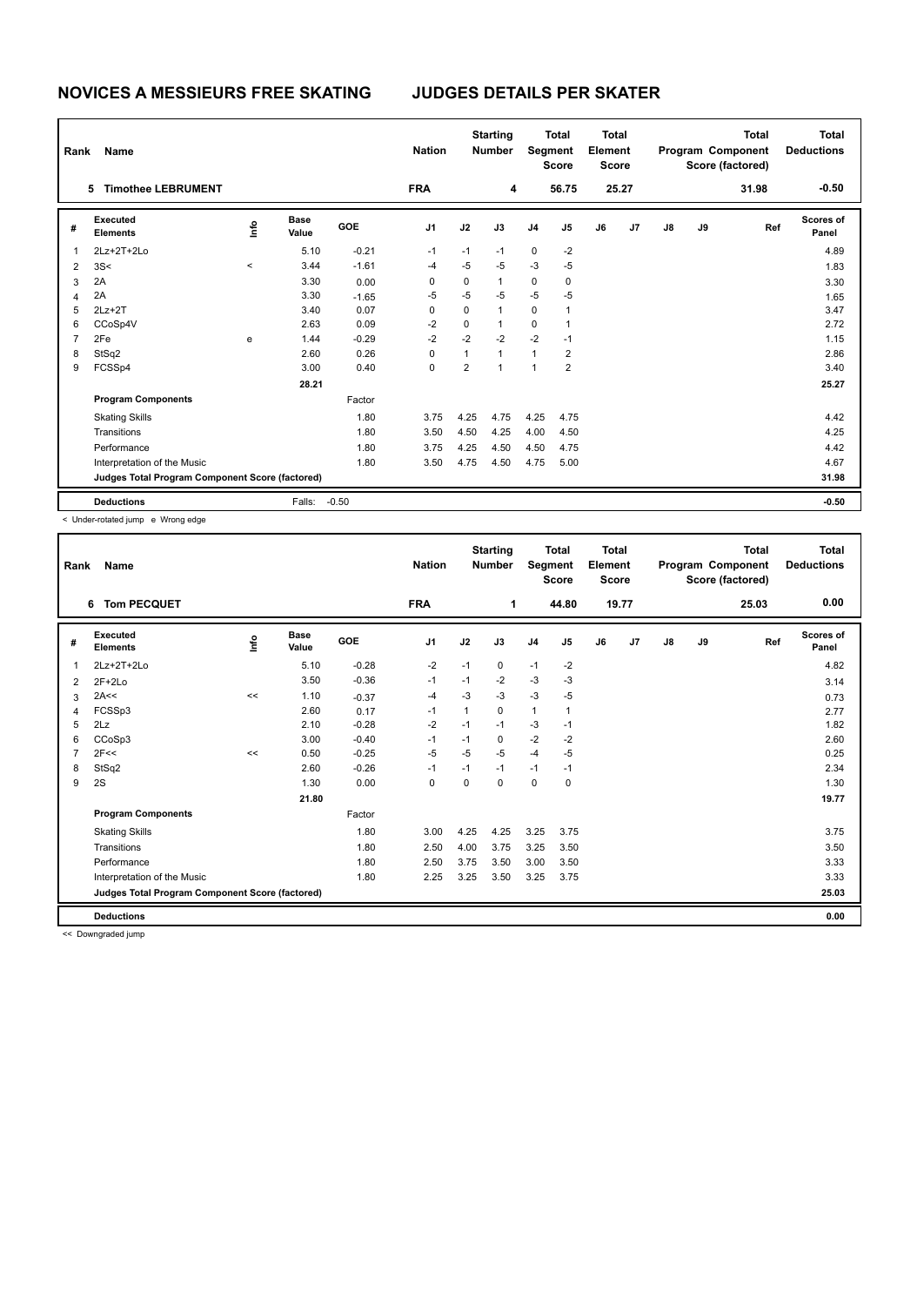|   | Rank<br>Name                                    |         |                      |         | <b>Nation</b>  |                | <b>Starting</b><br><b>Number</b> |                | <b>Total</b><br>Segment<br><b>Score</b> |    | <b>Total</b><br>Element<br><b>Score</b> |               |    | <b>Total</b><br>Program Component<br>Score (factored) | <b>Total</b><br><b>Deductions</b> |
|---|-------------------------------------------------|---------|----------------------|---------|----------------|----------------|----------------------------------|----------------|-----------------------------------------|----|-----------------------------------------|---------------|----|-------------------------------------------------------|-----------------------------------|
|   | <b>Timothee LEBRUMENT</b><br>5.                 |         |                      |         | <b>FRA</b>     |                | 4                                |                | 56.75                                   |    | 25.27                                   |               |    | 31.98                                                 | $-0.50$                           |
| # | Executed<br><b>Elements</b>                     | lnfo    | <b>Base</b><br>Value | GOE     | J <sub>1</sub> | J2             | J3                               | J <sub>4</sub> | J5                                      | J6 | J <sub>7</sub>                          | $\mathsf{J}8$ | J9 | Ref                                                   | <b>Scores of</b><br>Panel         |
| 1 | 2Lz+2T+2Lo                                      |         | 5.10                 | $-0.21$ | $-1$           | $-1$           | $-1$                             | $\mathbf 0$    | $-2$                                    |    |                                         |               |    |                                                       | 4.89                              |
| 2 | 3S<                                             | $\prec$ | 3.44                 | $-1.61$ | $-4$           | $-5$           | $-5$                             | $-3$           | $-5$                                    |    |                                         |               |    |                                                       | 1.83                              |
| 3 | 2A                                              |         | 3.30                 | 0.00    | 0              | 0              | $\mathbf{1}$                     | 0              | 0                                       |    |                                         |               |    |                                                       | 3.30                              |
| 4 | 2A                                              |         | 3.30                 | $-1.65$ | $-5$           | $-5$           | -5                               | $-5$           | -5                                      |    |                                         |               |    |                                                       | 1.65                              |
| 5 | $2Lz+2T$                                        |         | 3.40                 | 0.07    | 0              | $\mathbf 0$    | $\mathbf{1}$                     | 0              | 1                                       |    |                                         |               |    |                                                       | 3.47                              |
| 6 | CCoSp4V                                         |         | 2.63                 | 0.09    | $-2$           | $\mathbf 0$    | $\mathbf{1}$                     | 0              | 1                                       |    |                                         |               |    |                                                       | 2.72                              |
| 7 | 2Fe                                             | e       | 1.44                 | $-0.29$ | $-2$           | $-2$           | $-2$                             | $-2$           | $-1$                                    |    |                                         |               |    |                                                       | 1.15                              |
| 8 | StSq2                                           |         | 2.60                 | 0.26    | 0              | 1              | $\mathbf{1}$                     | $\mathbf{1}$   | 2                                       |    |                                         |               |    |                                                       | 2.86                              |
| 9 | FCSSp4                                          |         | 3.00                 | 0.40    | 0              | $\overline{2}$ | $\overline{1}$                   | $\overline{1}$ | $\overline{2}$                          |    |                                         |               |    |                                                       | 3.40                              |
|   |                                                 |         | 28.21                |         |                |                |                                  |                |                                         |    |                                         |               |    |                                                       | 25.27                             |
|   | <b>Program Components</b>                       |         |                      | Factor  |                |                |                                  |                |                                         |    |                                         |               |    |                                                       |                                   |
|   | <b>Skating Skills</b>                           |         |                      | 1.80    | 3.75           | 4.25           | 4.75                             | 4.25           | 4.75                                    |    |                                         |               |    |                                                       | 4.42                              |
|   | Transitions                                     |         |                      | 1.80    | 3.50           | 4.50           | 4.25                             | 4.00           | 4.50                                    |    |                                         |               |    |                                                       | 4.25                              |
|   | Performance                                     |         |                      | 1.80    | 3.75           | 4.25           | 4.50                             | 4.50           | 4.75                                    |    |                                         |               |    |                                                       | 4.42                              |
|   | Interpretation of the Music                     |         |                      | 1.80    | 3.50           | 4.75           | 4.50                             | 4.75           | 5.00                                    |    |                                         |               |    |                                                       | 4.67                              |
|   | Judges Total Program Component Score (factored) |         |                      |         |                |                |                                  |                |                                         |    |                                         |               |    |                                                       | 31.98                             |
|   | <b>Deductions</b>                               |         | Falls:               | $-0.50$ |                |                |                                  |                |                                         |    |                                         |               |    |                                                       | $-0.50$                           |

< Under-rotated jump e Wrong edge

| Rank | Name                                            |      |                      |         | <b>Nation</b>  |          | <b>Starting</b><br><b>Number</b> |              | <b>Total</b><br>Segment<br><b>Score</b> | <b>Total</b><br>Element<br><b>Score</b> |       |               |    | <b>Total</b><br>Program Component<br>Score (factored) | <b>Total</b><br><b>Deductions</b> |
|------|-------------------------------------------------|------|----------------------|---------|----------------|----------|----------------------------------|--------------|-----------------------------------------|-----------------------------------------|-------|---------------|----|-------------------------------------------------------|-----------------------------------|
|      | <b>Tom PECQUET</b><br>6                         |      |                      |         | <b>FRA</b>     |          | 1                                |              | 44.80                                   |                                         | 19.77 |               |    | 25.03                                                 | 0.00                              |
| #    | <b>Executed</b><br><b>Elements</b>              | ١rfo | <b>Base</b><br>Value | GOE     | J <sub>1</sub> | J2       | J3                               | J4           | J5                                      | J6                                      | J7    | $\mathsf{J}8$ | J9 | Ref                                                   | <b>Scores of</b><br>Panel         |
| 1    | 2Lz+2T+2Lo                                      |      | 5.10                 | $-0.28$ | $-2$           | $-1$     | 0                                | $-1$         | $-2$                                    |                                         |       |               |    |                                                       | 4.82                              |
| 2    | $2F+2Lo$                                        |      | 3.50                 | $-0.36$ | $-1$           | $-1$     | $-2$                             | -3           | $-3$                                    |                                         |       |               |    |                                                       | 3.14                              |
| 3    | 2A<<                                            | <<   | 1.10                 | $-0.37$ | $-4$           | $-3$     | -3                               | $-3$         | -5                                      |                                         |       |               |    |                                                       | 0.73                              |
| 4    | FCSSp3                                          |      | 2.60                 | 0.17    | $-1$           | 1        | 0                                | $\mathbf{1}$ |                                         |                                         |       |               |    |                                                       | 2.77                              |
| 5    | 2Lz                                             |      | 2.10                 | $-0.28$ | $-2$           | $-1$     | $-1$                             | $-3$         | $-1$                                    |                                         |       |               |    |                                                       | 1.82                              |
| 6    | CCoSp3                                          |      | 3.00                 | $-0.40$ | $-1$           | $-1$     | 0                                | $-2$         | $-2$                                    |                                         |       |               |    |                                                       | 2.60                              |
| 7    | 2F<<                                            | <<   | 0.50                 | $-0.25$ | $-5$           | $-5$     | $-5$                             | $-4$         | $-5$                                    |                                         |       |               |    |                                                       | 0.25                              |
| 8    | StSq2                                           |      | 2.60                 | $-0.26$ | $-1$           | $-1$     | $-1$                             | $-1$         | $-1$                                    |                                         |       |               |    |                                                       | 2.34                              |
| 9    | 2S                                              |      | 1.30                 | 0.00    | $\mathbf 0$    | $\Omega$ | $\Omega$                         | 0            | 0                                       |                                         |       |               |    |                                                       | 1.30                              |
|      |                                                 |      | 21.80                |         |                |          |                                  |              |                                         |                                         |       |               |    |                                                       | 19.77                             |
|      | <b>Program Components</b>                       |      |                      | Factor  |                |          |                                  |              |                                         |                                         |       |               |    |                                                       |                                   |
|      | <b>Skating Skills</b>                           |      |                      | 1.80    | 3.00           | 4.25     | 4.25                             | 3.25         | 3.75                                    |                                         |       |               |    |                                                       | 3.75                              |
|      | Transitions                                     |      |                      | 1.80    | 2.50           | 4.00     | 3.75                             | 3.25         | 3.50                                    |                                         |       |               |    |                                                       | 3.50                              |
|      | Performance                                     |      |                      | 1.80    | 2.50           | 3.75     | 3.50                             | 3.00         | 3.50                                    |                                         |       |               |    |                                                       | 3.33                              |
|      | Interpretation of the Music                     |      |                      | 1.80    | 2.25           | 3.25     | 3.50                             | 3.25         | 3.75                                    |                                         |       |               |    |                                                       | 3.33                              |
|      | Judges Total Program Component Score (factored) |      |                      |         |                |          |                                  |              |                                         |                                         |       |               |    |                                                       | 25.03                             |
|      | <b>Deductions</b>                               |      |                      |         |                |          |                                  |              |                                         |                                         |       |               |    |                                                       | 0.00                              |

<< Downgraded jump